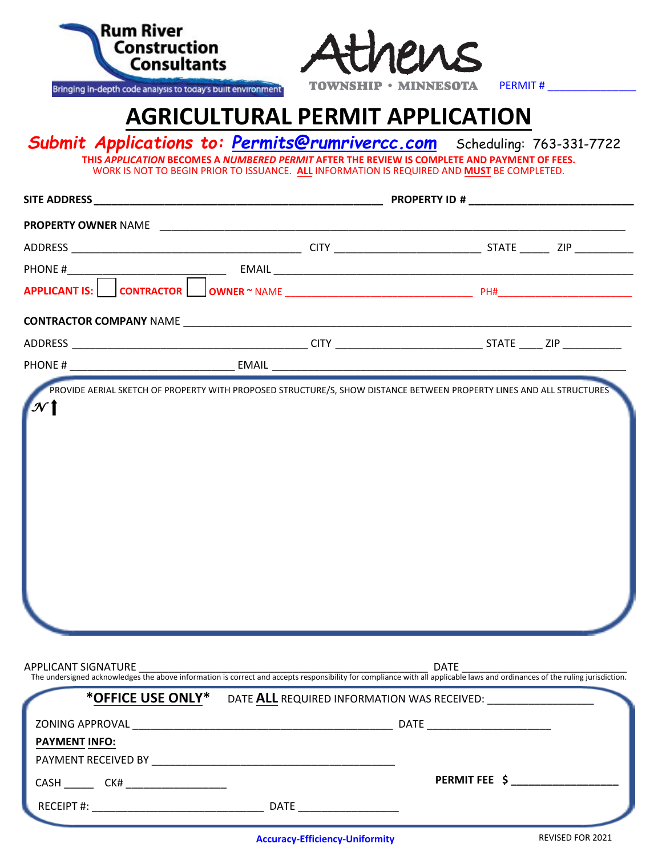| <b>Rum River</b><br>Construction<br><b>Consultants</b>       | Athens                                                                                                                                                                                                                                                                       |                 |  |
|--------------------------------------------------------------|------------------------------------------------------------------------------------------------------------------------------------------------------------------------------------------------------------------------------------------------------------------------------|-----------------|--|
| Bringing in-depth code analysis to today's built environment | TOWNSHIP • MINNESOTA                                                                                                                                                                                                                                                         | <b>PERMIT #</b> |  |
|                                                              | <b>AGRICULTURAL PERMIT APPLICATION</b>                                                                                                                                                                                                                                       |                 |  |
|                                                              | <b>Submit Applications to: Permits@rumrivercc.com</b> Scheduling: 763-331-7722<br>THIS APPLICATION BECOMES A NUMBERED PERMIT AFTER THE REVIEW IS COMPLETE AND PAYMENT OF FEES.<br>WORK IS NOT TO BEGIN PRIOR TO ISSUANCE. ALL INFORMATION IS REQUIRED AND MUST BE COMPLETED. |                 |  |
|                                                              |                                                                                                                                                                                                                                                                              |                 |  |
|                                                              |                                                                                                                                                                                                                                                                              |                 |  |
|                                                              |                                                                                                                                                                                                                                                                              |                 |  |
|                                                              |                                                                                                                                                                                                                                                                              |                 |  |
|                                                              |                                                                                                                                                                                                                                                                              |                 |  |
|                                                              |                                                                                                                                                                                                                                                                              |                 |  |
|                                                              |                                                                                                                                                                                                                                                                              |                 |  |
|                                                              |                                                                                                                                                                                                                                                                              |                 |  |
|                                                              |                                                                                                                                                                                                                                                                              |                 |  |
| APPLICANT SIGNATURE                                          |                                                                                                                                                                                                                                                                              | <b>DATE</b>     |  |
|                                                              | <b>STEP LICANT SIGNATURE</b> <u>CONSILE AND BESIDEN BESIDEN BESIDEN BESIDEN BESIDENT BESIDENT BESIDENT BESIDENT BESIDEN BESIDENT BESIDENT The undersigned acknowledges the above information is correct and accepts responsibility fo</u>                                    |                 |  |
|                                                              | *OFFICE USE ONLY* DATE ALL REQUIRED INFORMATION WAS RECEIVED: __________________                                                                                                                                                                                             |                 |  |
|                                                              |                                                                                                                                                                                                                                                                              |                 |  |
| <b>PAYMENT INFO:</b>                                         |                                                                                                                                                                                                                                                                              |                 |  |
| <b>CASH</b>                                                  |                                                                                                                                                                                                                                                                              | PERMIT FEE \$   |  |
|                                                              |                                                                                                                                                                                                                                                                              |                 |  |

RECEIPT #: \_\_\_\_\_\_\_\_\_\_\_\_\_\_\_\_\_\_\_\_\_\_\_\_\_\_\_\_\_ DATE \_\_\_\_\_\_\_\_\_\_\_\_\_\_\_\_\_